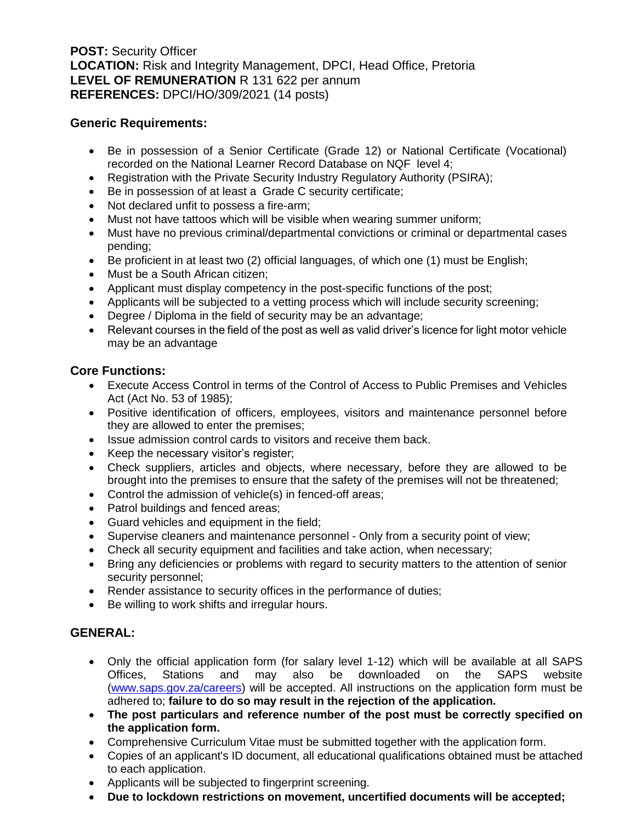**POST:** Security Officer **LOCATION:** Risk and Integrity Management, DPCI, Head Office, Pretoria **LEVEL OF REMUNERATION** R 131 622 per annum **REFERENCES:** DPCI/HO/309/2021 (14 posts)

### **Generic Requirements:**

- Be in possession of a Senior Certificate (Grade 12) or National Certificate (Vocational) recorded on the National Learner Record Database on NQF level 4;
- Registration with the Private Security Industry Regulatory Authority (PSIRA);
- Be in possession of at least a Grade C security certificate;
- Not declared unfit to possess a fire-arm;
- Must not have tattoos which will be visible when wearing summer uniform;
- Must have no previous criminal/departmental convictions or criminal or departmental cases pending;
- Be proficient in at least two (2) official languages, of which one (1) must be English;
- Must be a South African citizen;
- Applicant must display competency in the post-specific functions of the post;
- Applicants will be subjected to a vetting process which will include security screening;
- Degree / Diploma in the field of security may be an advantage;
- Relevant courses in the field of the post as well as valid driver's licence for light motor vehicle may be an advantage

## **Core Functions:**

- Execute Access Control in terms of the Control of Access to Public Premises and Vehicles Act (Act No. 53 of 1985);
- Positive identification of officers, employees, visitors and maintenance personnel before they are allowed to enter the premises;
- Issue admission control cards to visitors and receive them back.
- Keep the necessary visitor's register;
- Check suppliers, articles and objects, where necessary, before they are allowed to be brought into the premises to ensure that the safety of the premises will not be threatened;
- Control the admission of vehicle(s) in fenced-off areas;
- Patrol buildings and fenced areas;
- Guard vehicles and equipment in the field;
- Supervise cleaners and maintenance personnel Only from a security point of view;
- Check all security equipment and facilities and take action, when necessary;
- Bring any deficiencies or problems with regard to security matters to the attention of senior security personnel;
- Render assistance to security offices in the performance of duties;
- Be willing to work shifts and irregular hours.

# **GENERAL:**

- Only the official application form (for salary level 1-12) which will be available at all SAPS Offices, Stations and may also be downloaded on the SAPS website [\(www.saps.gov.za/careers\)](http://www.saps.gov.za/careers) will be accepted. All instructions on the application form must be adhered to; **failure to do so may result in the rejection of the application.**
- **The post particulars and reference number of the post must be correctly specified on the application form.**
- Comprehensive Curriculum Vitae must be submitted together with the application form.
- Copies of an applicant's ID document, all educational qualifications obtained must be attached to each application.
- Applicants will be subjected to fingerprint screening.
- **Due to lockdown restrictions on movement, uncertified documents will be accepted;**